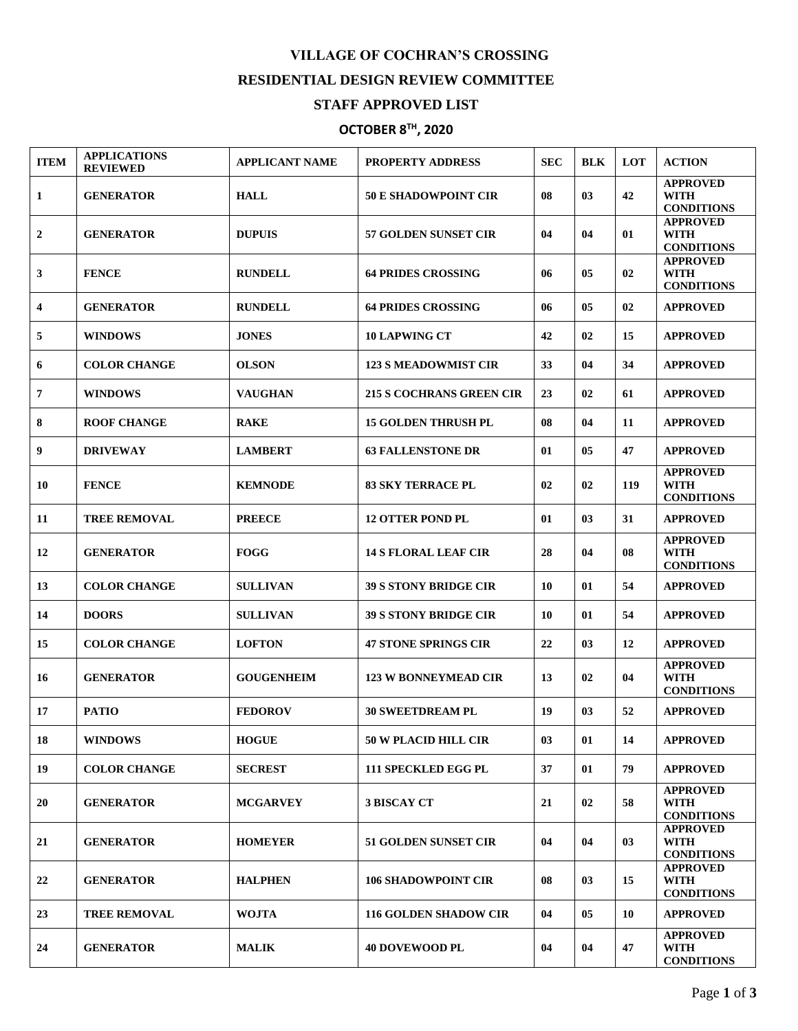## **VILLAGE OF COCHRAN'S CROSSING RESIDENTIAL DESIGN REVIEW COMMITTEE**

## **STAFF APPROVED LIST**

## **OCTOBER 8TH , 2020**

| <b>ITEM</b>  | <b>APPLICATIONS</b><br><b>REVIEWED</b> | <b>APPLICANT NAME</b> | <b>PROPERTY ADDRESS</b>         | <b>SEC</b> | <b>BLK</b> | LOT | <b>ACTION</b>                                       |
|--------------|----------------------------------------|-----------------------|---------------------------------|------------|------------|-----|-----------------------------------------------------|
| 1            | <b>GENERATOR</b>                       | <b>HALL</b>           | <b>50 E SHADOWPOINT CIR</b>     | 08         | 03         | 42  | <b>APPROVED</b><br><b>WITH</b><br><b>CONDITIONS</b> |
| $\mathbf{2}$ | <b>GENERATOR</b>                       | <b>DUPUIS</b>         | <b>57 GOLDEN SUNSET CIR</b>     | 04         | 04         | 01  | <b>APPROVED</b><br><b>WITH</b><br><b>CONDITIONS</b> |
| 3            | <b>FENCE</b>                           | <b>RUNDELL</b>        | <b>64 PRIDES CROSSING</b>       | 06         | 05         | 02  | <b>APPROVED</b><br><b>WITH</b><br><b>CONDITIONS</b> |
| 4            | <b>GENERATOR</b>                       | <b>RUNDELL</b>        | <b>64 PRIDES CROSSING</b>       | 06         | 05         | 02  | <b>APPROVED</b>                                     |
| 5            | <b>WINDOWS</b>                         | <b>JONES</b>          | <b>10 LAPWING CT</b>            | 42         | 02         | 15  | <b>APPROVED</b>                                     |
| 6            | <b>COLOR CHANGE</b>                    | <b>OLSON</b>          | <b>123 S MEADOWMIST CIR</b>     | 33         | 04         | 34  | <b>APPROVED</b>                                     |
| 7            | <b>WINDOWS</b>                         | <b>VAUGHAN</b>        | <b>215 S COCHRANS GREEN CIR</b> | 23         | 02         | 61  | <b>APPROVED</b>                                     |
| 8            | <b>ROOF CHANGE</b>                     | <b>RAKE</b>           | <b>15 GOLDEN THRUSH PL</b>      | 08         | 04         | 11  | <b>APPROVED</b>                                     |
| 9            | <b>DRIVEWAY</b>                        | <b>LAMBERT</b>        | <b>63 FALLENSTONE DR</b>        | 01         | 05         | 47  | <b>APPROVED</b>                                     |
| 10           | <b>FENCE</b>                           | <b>KEMNODE</b>        | <b>83 SKY TERRACE PL</b>        | 02         | 02         | 119 | <b>APPROVED</b><br><b>WITH</b><br><b>CONDITIONS</b> |
| 11           | <b>TREE REMOVAL</b>                    | <b>PREECE</b>         | <b>12 OTTER POND PL</b>         | 01         | 03         | 31  | <b>APPROVED</b>                                     |
| 12           | <b>GENERATOR</b>                       | <b>FOGG</b>           | <b>14 S FLORAL LEAF CIR</b>     | 28         | 04         | 08  | <b>APPROVED</b><br>WITH<br><b>CONDITIONS</b>        |
| 13           | <b>COLOR CHANGE</b>                    | <b>SULLIVAN</b>       | <b>39 S STONY BRIDGE CIR</b>    | 10         | 01         | 54  | <b>APPROVED</b>                                     |
| 14           | <b>DOORS</b>                           | <b>SULLIVAN</b>       | <b>39 S STONY BRIDGE CIR</b>    | 10         | 01         | 54  | <b>APPROVED</b>                                     |
| 15           | <b>COLOR CHANGE</b>                    | <b>LOFTON</b>         | <b>47 STONE SPRINGS CIR</b>     | 22         | 03         | 12  | <b>APPROVED</b>                                     |
| 16           | <b>GENERATOR</b>                       | <b>GOUGENHEIM</b>     | <b>123 W BONNEYMEAD CIR</b>     | 13         | 02         | 04  | <b>APPROVED</b><br><b>WITH</b><br><b>CONDITIONS</b> |
| 17           | <b>PATIO</b>                           | <b>FEDOROV</b>        | <b>30 SWEETDREAM PL</b>         | 19         | 03         | 52  | <b>APPROVED</b>                                     |
| 18           | <b>WINDOWS</b>                         | <b>HOGUE</b>          | <b>50 W PLACID HILL CIR</b>     | 03         | 01         | 14  | <b>APPROVED</b>                                     |
| 19           | <b>COLOR CHANGE</b>                    | <b>SECREST</b>        | 111 SPECKLED EGG PL             | 37         | 01         | 79  | <b>APPROVED</b>                                     |
| 20           | <b>GENERATOR</b>                       | <b>MCGARVEY</b>       | <b>3 BISCAY CT</b>              | 21         | 02         | 58  | <b>APPROVED</b><br><b>WITH</b><br><b>CONDITIONS</b> |
| 21           | <b>GENERATOR</b>                       | <b>HOMEYER</b>        | <b>51 GOLDEN SUNSET CIR</b>     | 04         | 04         | 03  | <b>APPROVED</b><br><b>WITH</b><br><b>CONDITIONS</b> |
| 22           | <b>GENERATOR</b>                       | <b>HALPHEN</b>        | <b>106 SHADOWPOINT CIR</b>      | 08         | 03         | 15  | <b>APPROVED</b><br><b>WITH</b><br><b>CONDITIONS</b> |
| 23           | <b>TREE REMOVAL</b>                    | <b>WOJTA</b>          | <b>116 GOLDEN SHADOW CIR</b>    | 04         | 05         | 10  | <b>APPROVED</b>                                     |
| 24           | <b>GENERATOR</b>                       | <b>MALIK</b>          | <b>40 DOVEWOOD PL</b>           | 04         | 04         | 47  | <b>APPROVED</b><br><b>WITH</b><br><b>CONDITIONS</b> |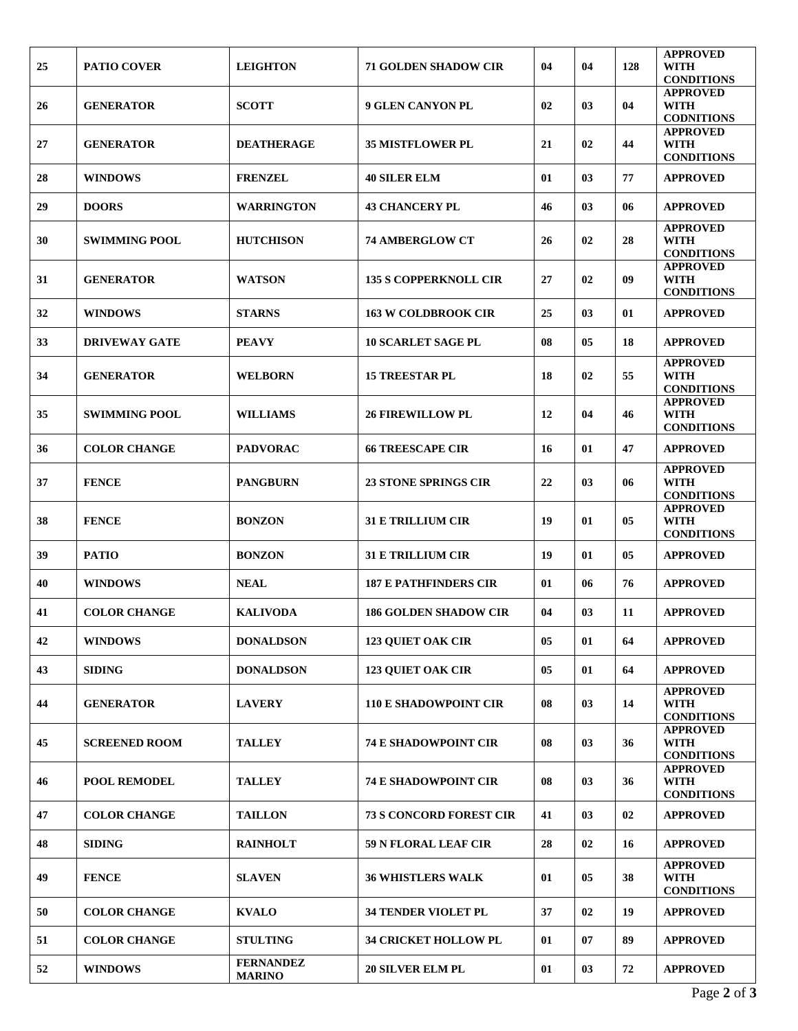|    |                      |                                   |                                |    |    |     | <b>APPROVED</b>                                     |
|----|----------------------|-----------------------------------|--------------------------------|----|----|-----|-----------------------------------------------------|
| 25 | <b>PATIO COVER</b>   | <b>LEIGHTON</b>                   | <b>71 GOLDEN SHADOW CIR</b>    | 04 | 04 | 128 | WITH<br><b>CONDITIONS</b>                           |
| 26 | <b>GENERATOR</b>     | <b>SCOTT</b>                      | <b>9 GLEN CANYON PL</b>        | 02 | 03 | 04  | <b>APPROVED</b><br><b>WITH</b><br><b>CODNITIONS</b> |
| 27 | <b>GENERATOR</b>     | <b>DEATHERAGE</b>                 | <b>35 MISTFLOWER PL</b>        | 21 | 02 | 44  | <b>APPROVED</b><br><b>WITH</b><br><b>CONDITIONS</b> |
| 28 | <b>WINDOWS</b>       | <b>FRENZEL</b>                    | <b>40 SILER ELM</b>            | 01 | 03 | 77  | <b>APPROVED</b>                                     |
| 29 | <b>DOORS</b>         | <b>WARRINGTON</b>                 | <b>43 CHANCERY PL</b>          | 46 | 03 | 06  | <b>APPROVED</b>                                     |
| 30 | <b>SWIMMING POOL</b> | <b>HUTCHISON</b>                  | <b>74 AMBERGLOW CT</b>         | 26 | 02 | 28  | <b>APPROVED</b><br><b>WITH</b><br><b>CONDITIONS</b> |
| 31 | <b>GENERATOR</b>     | <b>WATSON</b>                     | <b>135 S COPPERKNOLL CIR</b>   | 27 | 02 | 09  | <b>APPROVED</b><br><b>WITH</b><br><b>CONDITIONS</b> |
| 32 | <b>WINDOWS</b>       | <b>STARNS</b>                     | <b>163 W COLDBROOK CIR</b>     | 25 | 03 | 01  | <b>APPROVED</b>                                     |
| 33 | <b>DRIVEWAY GATE</b> | <b>PEAVY</b>                      | <b>10 SCARLET SAGE PL</b>      | 08 | 05 | 18  | <b>APPROVED</b>                                     |
| 34 | <b>GENERATOR</b>     | <b>WELBORN</b>                    | <b>15 TREESTAR PL</b>          | 18 | 02 | 55  | <b>APPROVED</b><br><b>WITH</b><br><b>CONDITIONS</b> |
| 35 | <b>SWIMMING POOL</b> | <b>WILLIAMS</b>                   | <b>26 FIREWILLOW PL</b>        | 12 | 04 | 46  | <b>APPROVED</b><br><b>WITH</b><br><b>CONDITIONS</b> |
| 36 | <b>COLOR CHANGE</b>  | <b>PADVORAC</b>                   | <b>66 TREESCAPE CIR</b>        | 16 | 01 | 47  | <b>APPROVED</b>                                     |
| 37 | <b>FENCE</b>         | <b>PANGBURN</b>                   | <b>23 STONE SPRINGS CIR</b>    | 22 | 03 | 06  | <b>APPROVED</b><br><b>WITH</b><br><b>CONDITIONS</b> |
| 38 | <b>FENCE</b>         | <b>BONZON</b>                     | <b>31 E TRILLIUM CIR</b>       | 19 | 01 | 05  | <b>APPROVED</b><br><b>WITH</b><br><b>CONDITIONS</b> |
| 39 | <b>PATIO</b>         | <b>BONZON</b>                     | <b>31 E TRILLIUM CIR</b>       | 19 | 01 | 05  | <b>APPROVED</b>                                     |
| 40 | <b>WINDOWS</b>       | <b>NEAL</b>                       | <b>187 E PATHFINDERS CIR</b>   | 01 | 06 | 76  | <b>APPROVED</b>                                     |
| 41 | <b>COLOR CHANGE</b>  | <b>KALIVODA</b>                   | <b>186 GOLDEN SHADOW CIR</b>   | 04 | 03 | 11  | <b>APPROVED</b>                                     |
| 42 | <b>WINDOWS</b>       | <b>DONALDSON</b>                  | <b>123 QUIET OAK CIR</b>       | 05 | 01 | 64  | <b>APPROVED</b>                                     |
| 43 | <b>SIDING</b>        | <b>DONALDSON</b>                  | <b>123 QUIET OAK CIR</b>       | 05 | 01 | 64  | <b>APPROVED</b>                                     |
| 44 | <b>GENERATOR</b>     | <b>LAVERY</b>                     | <b>110 E SHADOWPOINT CIR</b>   | 08 | 03 | 14  | <b>APPROVED</b><br><b>WITH</b><br><b>CONDITIONS</b> |
| 45 | <b>SCREENED ROOM</b> | <b>TALLEY</b>                     | <b>74 E SHADOWPOINT CIR</b>    | 08 | 03 | 36  | <b>APPROVED</b><br><b>WITH</b><br><b>CONDITIONS</b> |
| 46 | POOL REMODEL         | <b>TALLEY</b>                     | <b>74 E SHADOWPOINT CIR</b>    | 08 | 03 | 36  | <b>APPROVED</b><br><b>WITH</b><br><b>CONDITIONS</b> |
| 47 | <b>COLOR CHANGE</b>  | <b>TAILLON</b>                    | <b>73 S CONCORD FOREST CIR</b> | 41 | 03 | 02  | <b>APPROVED</b>                                     |
| 48 | <b>SIDING</b>        | <b>RAINHOLT</b>                   | 59 N FLORAL LEAF CIR           | 28 | 02 | 16  | <b>APPROVED</b>                                     |
| 49 | <b>FENCE</b>         | <b>SLAVEN</b>                     | <b>36 WHISTLERS WALK</b>       | 01 | 05 | 38  | <b>APPROVED</b><br><b>WITH</b><br><b>CONDITIONS</b> |
| 50 | <b>COLOR CHANGE</b>  | <b>KVALO</b>                      | 34 TENDER VIOLET PL            | 37 | 02 | 19  | <b>APPROVED</b>                                     |
| 51 | <b>COLOR CHANGE</b>  | <b>STULTING</b>                   | 34 CRICKET HOLLOW PL           | 01 | 07 | 89  | <b>APPROVED</b>                                     |
| 52 | <b>WINDOWS</b>       | <b>FERNANDEZ</b><br><b>MARINO</b> | <b>20 SILVER ELM PL</b>        | 01 | 03 | 72  | <b>APPROVED</b>                                     |